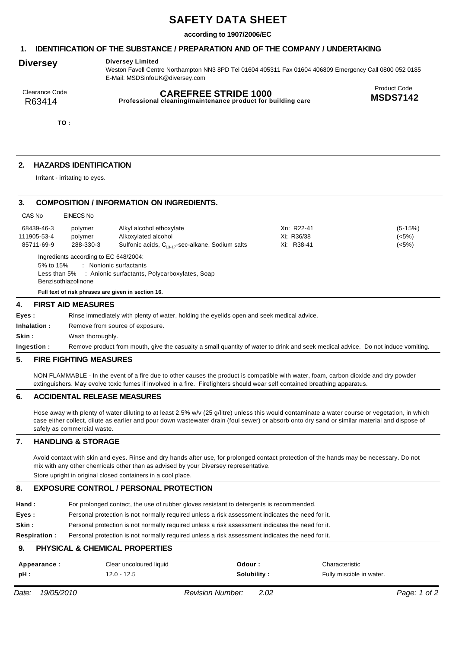## **SAFETY DATA SHEET**

## **according to 1907/2006/EC**

## **1. IDENTIFICATION OF THE SUBSTANCE / PREPARATION AND OF THE COMPANY / UNDERTAKING**

## **Diversey Diversey Limited**

Weston Favell Centre Northampton NN3 8PD Tel 01604 405311 Fax 01604 406809 Emergency Call 0800 052 0185 E-Mail: MSDSinfoUK@diversey.com

# Product Code Clearance Code **CAREFREE STRIDE 1000 MSDS7142** R63414 **Professional cleaning/maintenance product for building care**

**TO :**

## **2. HAZARDS IDENTIFICATION**

Irritant - irritating to eyes.

## **3. COMPOSITION / INFORMATION ON INGREDIENTS.**

#### CAS No EINECS No

| 68439-46-3<br>111905-53-4 | polymer<br>polymer                    | Alkyl alcohol ethoxylate<br>Alkoxylated alcohol       | Xn: R22-41<br>Xi; R36/38 | $(5-15%)$<br>(<5%) |
|---------------------------|---------------------------------------|-------------------------------------------------------|--------------------------|--------------------|
| 85711-69-9                | 288-330-3                             | Sulfonic acids, $C_{12,17}$ -sec-alkane, Sodium salts | Xi: R38-41               | (<5%)              |
|                           | Ingredients according to EC 648/2004: |                                                       |                          |                    |
| 5% to 15%                 |                                       | : Nonionic surfactants                                |                          |                    |
| Less than 5%              |                                       | : Anionic surfactants, Polycarboxylates, Soap         |                          |                    |

Benzisothiazolinone

**Full text of risk phrases are given in section 16.**

#### **4. FIRST AID MEASURES**

**Eyes :** Rinse immediately with plenty of water, holding the eyelids open and seek medical advice.

**Inhalation :** Remove from source of exposure.

**Skin :** Wash thoroughly.

**Ingestion :** Remove product from mouth, give the casualty a small quantity of water to drink and seek medical advice. Do not induce vomiting.

#### **5. FIRE FIGHTING MEASURES**

NON FLAMMABLE - In the event of a fire due to other causes the product is compatible with water, foam, carbon dioxide and dry powder extinguishers. May evolve toxic fumes if involved in a fire. Firefighters should wear self contained breathing apparatus.

#### **6. ACCIDENTAL RELEASE MEASURES**

Hose away with plenty of water diluting to at least 2.5% w/v (25 g/litre) unless this would contaminate a water course or vegetation, in which case either collect, dilute as earlier and pour down wastewater drain (foul sewer) or absorb onto dry sand or similar material and dispose of safely as commercial waste.

#### **7. HANDLING & STORAGE**

Avoid contact with skin and eyes. Rinse and dry hands after use, for prolonged contact protection of the hands may be necessary. Do not mix with any other chemicals other than as advised by your Diversey representative. Store upright in original closed containers in a cool place.

## **8. EXPOSURE CONTROL / PERSONAL PROTECTION**

| Hand:               | For prolonged contact, the use of rubber gloves resistant to detergents is recommended.          |
|---------------------|--------------------------------------------------------------------------------------------------|
| Eyes:               | Personal protection is not normally required unless a risk assessment indicates the need for it. |
| Skin :              | Personal protection is not normally required unless a risk assessment indicates the need for it. |
| <b>Respiration:</b> | Personal protection is not normally required unless a risk assessment indicates the need for it. |

#### **9. PHYSICAL & CHEMICAL PROPERTIES**

| Appearance : | Clear uncoloured liquid | Odour :     | Characteristic           |
|--------------|-------------------------|-------------|--------------------------|
| pH :         | 12.0 - 12.5             | Solubility: | Fully miscible in water. |